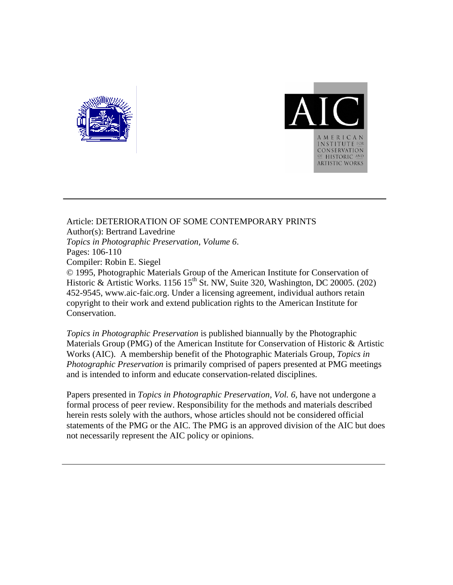



Article: DETERIORATION OF SOME CONTEMPORARY PRINTS Author(s): Bertrand Lavedrine *Topics in Photographic Preservation, Volume 6*. Pages: 106-110 Compiler: Robin E. Siegel © 1995, Photographic Materials Group of the American Institute for Conservation of Historic & Artistic Works. 1156 15<sup>th</sup> St. NW, Suite 320, Washington, DC 20005. (202) 452-9545, www.aic-faic.org. Under a licensing agreement, individual authors retain copyright to their work and extend publication rights to the American Institute for Conservation.

*Topics in Photographic Preservation* is published biannually by the Photographic Materials Group (PMG) of the American Institute for Conservation of Historic & Artistic Works (AIC). A membership benefit of the Photographic Materials Group, *Topics in Photographic Preservation* is primarily comprised of papers presented at PMG meetings and is intended to inform and educate conservation-related disciplines.

Papers presented in *Topics in Photographic Preservation, Vol. 6*, have not undergone a formal process of peer review. Responsibility for the methods and materials described herein rests solely with the authors, whose articles should not be considered official statements of the PMG or the AIC. The PMG is an approved division of the AIC but does not necessarily represent the AIC policy or opinions.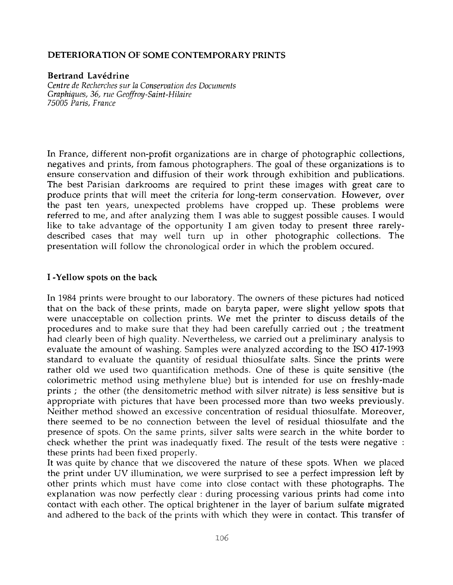## **DETERIORATION OF SOME CONTEMPORARY PRINTS**

### **Bertrand Lavédrine**

*Centre de Recherches sur la Conservation des Documents Graphiques, 36, rue Geoffuoy-Saint-Hilaire 75005 Paris, France* 

In France, different non-profit organizations are in charge of photographic collections, negatives and prints, from famous photographers. The goal of these organizations is to ensure conservation and diffusion of their work through exhibition and publications. The best Parisian darkrooms are required to print these images with great care to produce prints that will meet the criteria for long-term conservation. However, over the past ten years, unexpected problems have cropped up. These problems were referred to me, and after analyzing them I was able to suggest possible causes. I would like to take advantage of the opportunity I am given today to present three rarelydescribed cases that may well turn up in other photographic collections. The presentation will follow the chronologica1 order in which the problem occured.

### **I -Yellow spots on the back**

In **1984** prints were brought to our laboratory. The owners of these pictures had noticed that on the back of these prints, made on baryta paper, were slight yellow spots that were unacceptable on collection prints. We met the printer to discuss details of the procedures and to make sure that they had been carefully carried out ; the treatment had clearly been of high quality. Nevertheless, we carried out a preliminary analysis to evaluate the amount of washing. Samples were analyzed according to the IS0 **417-1993**  standard to evaluate the quantity of residual thiosulfate salts. Since the prints were rather old we used two quantification methods. One of these is quite sensitive (the colorimetric method using methylene blue) but is intended for use on freshly-made prints ; the other (the densitometric method with silver nitrate) is less sensitive but is appropriate with pictures that have been processed more than two weeks previously. Neither method showed an excessive concentration of residual thiosulfate. Moreover, there seemed to be no connection between the level of residual thiosulfate and the presence of spots. On the same prints, silver salts were search in the white border to check whether the print was inadequatly fixed. The result of the tests were negative : these prints had been fixed properly.

It was quite by chance that we discovered the nature of these spots. When we placed the print under UV illumination, we were surprised to see a perfect impression left by other prints which must have come into close contact with these photographs. The explanation was now perfectly clear : during processing various prints had come into contact with each other. The optical brightener in the layer of barium sulfate migrated and adhered to the back of the prints with which they were in contact. This transfer of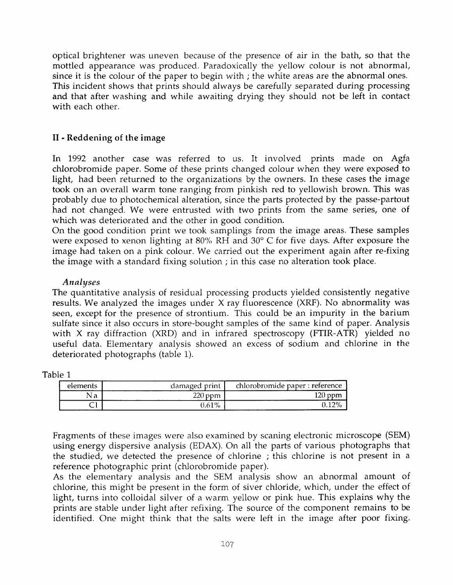optical brightener was uneven because of the presence of air in the bath, so that the mottled appearance was produced. Paradoxically the yellow colour is not abnormal, since it is the colour of the paper to begin with ; the white areas are the abnormal ones. This incident shows that prints should always be carefully separated during processing and that after washing and while awaiting drying they should not be left in contact with each other.

# **I1** - Reddening of the image

In 1992 another case was referred to us. It involved prints made on Agfa chlorobromide paper. Some of these prints changed colour when they were exposed to light, had been returned to the organizations by the owners. In these cases the image took on an overall warm tone ranging from pinkish red to yellowish brown. This was probably due to photochemical alteration, since the parts protected by the passe-partout had not changed. We were entrusted with two prints from the same series, one of which was deteriorated and the other in good condition.

On the good condition print we took samplings from the image areas. These samples were exposed to xenon lighting at 80% RH and *30"* C for five days. After exposure the image had taken on a pink colour. We carried out the experiment again after re-fixing the image with a standard fixing solution ; in this case no alteration took place.

## *Analyses*

The quantitative analysis of residual processing products yielded consistently negative results. We analyzed the images under X ray fluorescence (XRF). No abnormality was seen, except for the presence of strontium. This could be an impurity in the barium sulfate since it also occurs in store-bought samples of the same kind of paper. Analysis with X ray diffraction (XRD) and in infrared spectroscopy (FTIR-ATR) yielded no useful data. Elementary analysis showed an excess of sodium and chlorine in the deteriorated photographs (table 1).

Table 1

| elements | damaged print | chlorobromide paper : reference |
|----------|---------------|---------------------------------|
| Nа       | ∩רר           | 120                             |
|          | 0.61%         |                                 |

Fragments of these images were also examined by scaning electronic microscope (SEM) using energy dispersive analysis (EDAX). On all the parts of various photographs that the studied, we detected the presence of chlorine ; this chlorine is not present in a reference photographic print (chlorobromide paper).

As the elementary analysis and the SEM analysis show an abnormal amount of chlorine, this might be present in the form of siver chloride, which, under the effect of light, turns into colloidal silver of a warm yellow or pink hue. This explains why the prints are stable under light after refixing. The source of the component remains to be identified. One might think that the salts were left in the image after poor fixing.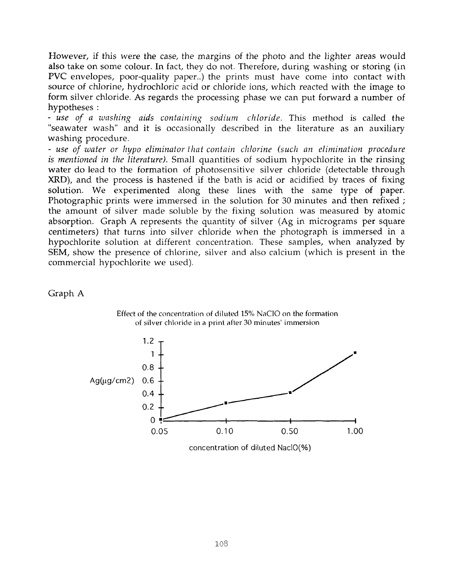However, if this were the case, the margins of the photo and the lighter areas would also take on some colour. In fact, they do not. Therefore, during washing or storing (in PVC envelopes, poor-quality paper..) the prints must have come into contact with source of chlorine, hydrochloric acid or chloride ions, which reacted with the image to form silver chloride. As regards the processing phase we can put forward a number of hypotheses :

- *use of a washing aids containing sodium chloride.* This method is called the "seawater wash" and it is occasionally described in the literature as an auxiliary washing procedure.

- use of water or hypo eliminator that contain chlorine (such an elimination procedure *is mentioned in the literature).* Small quantities of sodium hypochlorite in the rinsing water do lead to the formation of photosensitive silver chloride (detectable through XRD), and the process is hastened if the bath is acid or acidified by traces of fixing solution. We experimented along these lines with the same type of paper. Photographic prints were immersed in the solution for 30 minutes and then refixed; the amount of silver made soluble by the fixing solution was measured by atomic absorption. Graph **A** represents the quantity of silver (Ag in micrograms per square centimeters) that turns into silver chloride when the photograph is immersed in a hypochlorite solution at different concentration. These samples, when analyzed by SEM, show the presence of chlorine, silver and also calcium (which is present in the commercial hypochlorite we used).

Graph **A** 



Effect of the concentration of diluted 15% NaCIO on the formation of silver chloride in a print after **30** minutes' immersion

concentration of diluted NaclO(%)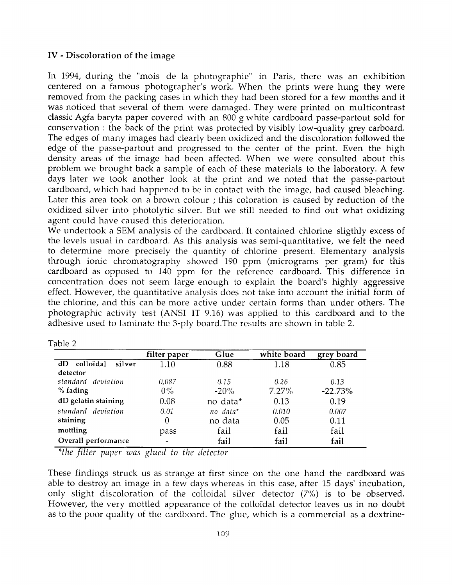# **IV** - **Discoloration of the image**

In 1994, during the "mois de la photographie" in Paris, there was an exhibition centered on a famous photographer's work. When the prints were hung they were removed from the packing cases in which they had been stored for a few months and it was noticed that several of them were damaged. They were printed on multicontrast classic Agfa baryta paper covered with an 800 g white cardboard passe-partout sold for conservation : the back of the print was protected by visibly low-quality grey carboard. The edges of many images had clearly been oxidized and the discoloration followed the edge of the passe-partout and progressed to the center of the print. Even the high density areas of the image had been affected. When we were consulted about this problem we brought back a sample of each of these materials to the laboratory. **A** few days later we took another look at the print and we noted that the passe-partout cardboard, which had happened to be in contact with the image, had caused bleaching. Later this area took on a brown colour ; this coloration is caused by reduction of the oxidized silver into photolytic silver. But we still needed to find out what oxidizing agent could have caused this deterioration.

We undertook a SEM analysis of the cardboard. It contained chlorine sligthly excess of the levels usual in cardboard. As this analysis was semi-quantitative, we felt the need to determine more precisely the quantity of chlorine present. Elementary analysis through ionic chromatography showed 190 ppm (micrograms per gram) for this cardboard as opposed to 140 ppm for the reference cardboard. This difference in concentration does not seem large enough to explain the board's highly aggressive effect. However, the quantitative analysis does not take into account the initial form of the chlorine, and this can be more active under certain forms than under others. The photographic activity test (ANSI IT 9.16) was applied to this cardboard and to the adhesive used to laminate the 3-ply board.The results are shown in table 2.

|                           | filter paper | Glue     | white board | grey board |
|---------------------------|--------------|----------|-------------|------------|
| colloïdal<br>silver<br>dD | 1.10         | 0.88     | 1.18        | 0.85       |
| detector                  |              |          |             |            |
| standard deviation        | 0,087        | 0.15     | 0.26        | 0.13       |
| % fading                  | $0\%$        | $-20\%$  | 7.27%       | $-22.73%$  |
| dD gelatin staining       | 0.08         | no data* | 0.13        | 0.19       |
| standard deviation        | 0.01         | no data* | 0.010       | 0.007      |
| staining                  | 0            | no data  | 0.05        | 0.11       |
| mottling                  | pass         | fail     | fail        | fail       |
| Overall performance       |              | fail     | fail        | fail       |

| ani | . . |  |
|-----|-----|--|
|     |     |  |

*\*the filter piper iuiis glued to flie detector* 

These findings struck us as strange at first since on the one hand the cardboard was able to destroy an image in a few days whereas in this case, after 15 days' incubation, only slight discoloration of the colloidal silver detector *(7%)* is to be observed. However, the very mottled appearance of the colloi'dal detector leaves us in no doubt as to the poor quality of the cardboard. The glue, which is a commercial as a dextrine